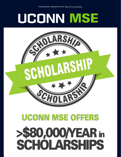## UCONN MSE



## **UCONN MSE OFFERS** >\$80,000/YEAR in<br>SCHOLARSHIPS